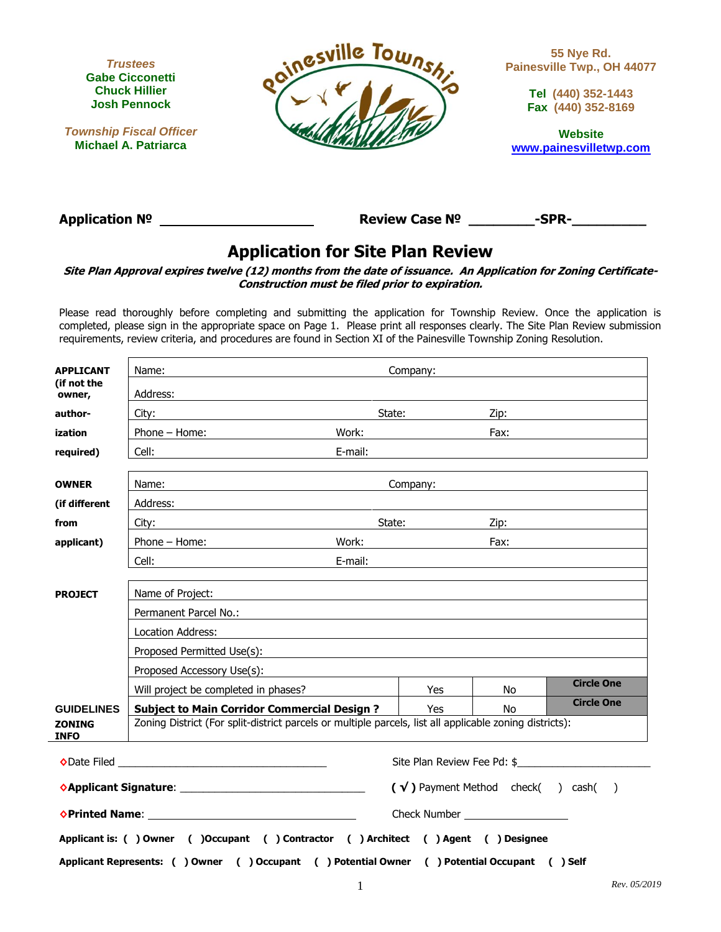

**Township Fiscal Officer Michael A. Patriarca**



**55 Nye Rd. Painesville Twp., OH 44077**

> **Tel (440) 352-1443 Fax (440) 352-8169**

**Website [www.painesvilletwp.com](http://www.painesvilletwp.com/)**

**Application № Review Case № \_\_\_\_\_\_\_\_-SPR-\_\_\_\_\_\_\_\_\_** 

# **Application for Site Plan Review**

**Site Plan Approval expires twelve (12) months from the date of issuance. An Application for Zoning Certificate-Construction must be filed prior to expiration.**

Please read thoroughly before completing and submitting the application for Township Review. Once the application is completed, please sign in the appropriate space on Page 1. Please print all responses clearly. The Site Plan Review submission requirements, review criteria, and procedures are found in Section XI of the Painesville Township Zoning Resolution.

| <b>APPLICANT</b><br>Name:    |                                                                                                                                   |  |                                                                                                                                                                                                                                |     |                   |  |
|------------------------------|-----------------------------------------------------------------------------------------------------------------------------------|--|--------------------------------------------------------------------------------------------------------------------------------------------------------------------------------------------------------------------------------|-----|-------------------|--|
| (if not the<br>owner,        | Address:<br><u> 1980 - Johann Barbara, martin amerikan perang di sebagai perang perang perang perang perang perang perang per</u> |  |                                                                                                                                                                                                                                |     |                   |  |
| author-                      | City:<br><u> 1980 - Johann Barbara, martin da basar a shekara 1980 - An tsara 1980 - An tsara 1980 - An tsara 1980 - An ts</u>    |  | State: <u>Zip:</u> Zip:                                                                                                                                                                                                        |     |                   |  |
| ization                      | Phone – Home: Work: North Montest Phone – Home:                                                                                   |  |                                                                                                                                                                                                                                |     |                   |  |
| required)                    |                                                                                                                                   |  | E-mail: E-mail: E-mail: E-mail: E-mail: E-mail: E-mail: E-mail: E-mail: E-mail: E-mail: E-mail: E-mail: E-mail: E-mail: E-mail: E-mail: E-mail: E-mail: E-mail: E-mail: E-mail: E-mail: E-mail: E-mail: E-mail: E-mail: E-mail |     |                   |  |
| <b>OWNER</b>                 | Name:                                                                                                                             |  | Company: the company of the company of the company of the company of the company of the company of the company                                                                                                                 |     |                   |  |
|                              | <u> 1989 - Johann Stoff, deutscher Stoff, der Stoff, der Stoff, der Stoff, der Stoff, der Stoff, der Stoff, der S</u>             |  |                                                                                                                                                                                                                                |     |                   |  |
| (if different                |                                                                                                                                   |  |                                                                                                                                                                                                                                |     |                   |  |
| from                         | City: <b>City</b> :                                                                                                               |  | State: Zip: Zip:                                                                                                                                                                                                               |     |                   |  |
| applicant)                   | Phone – Home:                                                                                                                     |  | Work: Fax:                                                                                                                                                                                                                     |     |                   |  |
|                              |                                                                                                                                   |  |                                                                                                                                                                                                                                |     |                   |  |
|                              |                                                                                                                                   |  |                                                                                                                                                                                                                                |     |                   |  |
| <b>PROJECT</b>               | Name of Project:                                                                                                                  |  |                                                                                                                                                                                                                                |     |                   |  |
|                              |                                                                                                                                   |  |                                                                                                                                                                                                                                |     |                   |  |
|                              | Location Address:                                                                                                                 |  |                                                                                                                                                                                                                                |     |                   |  |
|                              |                                                                                                                                   |  |                                                                                                                                                                                                                                |     |                   |  |
|                              | Proposed Accessory Use(s):                                                                                                        |  | <u> 1989 - Johann Harry Harry Harry Harry Harry Harry Harry Harry Harry Harry Harry Harry Harry Harry Harry Harry</u>                                                                                                          |     |                   |  |
|                              | Will project be completed in phases?                                                                                              |  | Yes                                                                                                                                                                                                                            | No  | <b>Circle One</b> |  |
| <b>GUIDELINES</b>            | <b>Subject to Main Corridor Commercial Design ?</b>   Yes                                                                         |  |                                                                                                                                                                                                                                | No. | <b>Circle One</b> |  |
| <b>ZONING</b><br><b>INFO</b> | Zoning District (For split-district parcels or multiple parcels, list all applicable zoning districts):                           |  |                                                                                                                                                                                                                                |     |                   |  |
|                              |                                                                                                                                   |  | Site Plan Review Fee Pd: \$                                                                                                                                                                                                    |     |                   |  |
|                              | $(\sqrt{})$ Payment Method check $($ ) cash $($ )                                                                                 |  |                                                                                                                                                                                                                                |     |                   |  |
|                              |                                                                                                                                   |  |                                                                                                                                                                                                                                |     |                   |  |
|                              | Applicant is: () Owner () Occupant () Contractor () Architect () Agent () Designee                                                |  |                                                                                                                                                                                                                                |     |                   |  |
|                              | Applicant Represents: ( ) Owner ( ) Occupant ( ) Potential Owner ( ) Potential Occupant ( ) Self                                  |  |                                                                                                                                                                                                                                |     |                   |  |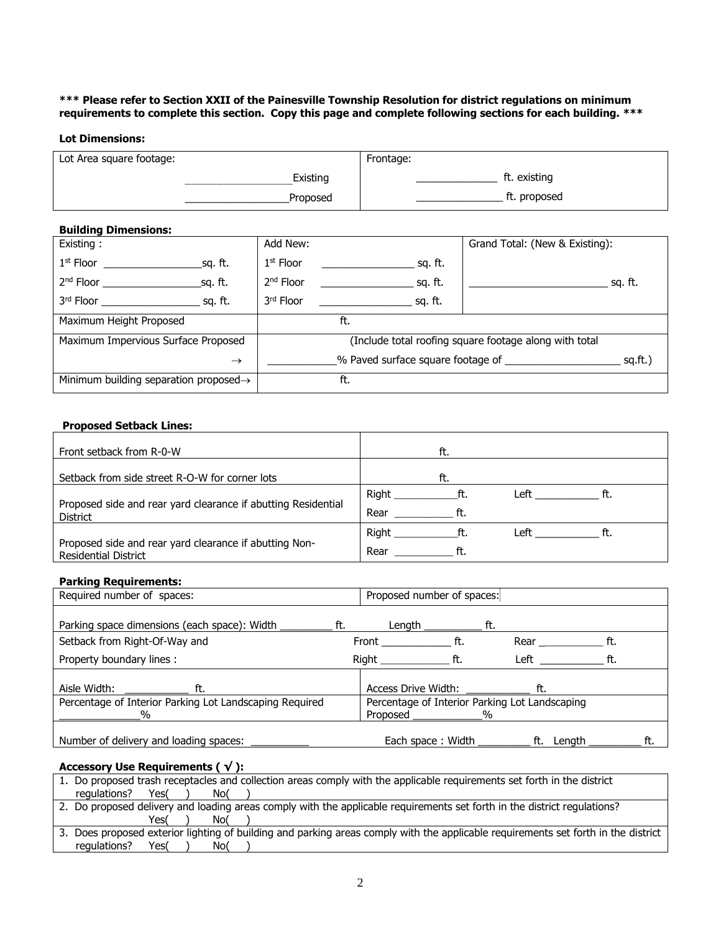## **\*\*\* Please refer to Section XXII of the Painesville Township Resolution for district regulations on minimum requirements to complete this section. Copy this page and complete following sections for each building. \*\*\***

# **Lot Dimensions:**

| Lot Area square footage: | Frontage:    |
|--------------------------|--------------|
| Existing                 | ft. existing |
| Proposed                 | ft. proposed |

# **Building Dimensions:**

| -- <i>-</i> --- <i>-</i> -----<br>Existing:                                                                                                                                                                                                         | Add New:                                               | Grand Total: (New & Existing): |  |
|-----------------------------------------------------------------------------------------------------------------------------------------------------------------------------------------------------------------------------------------------------|--------------------------------------------------------|--------------------------------|--|
| $1st$ Floor<br>sq. ft.                                                                                                                                                                                                                              | $1st$ Floor<br>sq. ft.                                 |                                |  |
| 2 <sup>nd</sup> Floor<br>sq. ft.                                                                                                                                                                                                                    | sq. ft.<br>$2nd$ Floor                                 | sa. ft.                        |  |
| 3 <sup>rd</sup> Floor and the state of the state of the state of the state of the state of the state of the state of the state of the state of the state of the state of the state of the state of the state of the state of the state o<br>sq. ft. | 3rd Floor<br>sq. ft.                                   |                                |  |
| Maximum Height Proposed                                                                                                                                                                                                                             | ft.                                                    |                                |  |
| Maximum Impervious Surface Proposed                                                                                                                                                                                                                 | (Include total roofing square footage along with total |                                |  |
| $\rightarrow$                                                                                                                                                                                                                                       | % Paved surface square footage of<br>sq.fit.)          |                                |  |
| Minimum building separation proposed $\rightarrow$                                                                                                                                                                                                  | ft.                                                    |                                |  |

# **Proposed Setback Lines:**

| Front setback from R-0-W                                                              | ft.                                |
|---------------------------------------------------------------------------------------|------------------------------------|
| Setback from side street R-O-W for corner lots                                        | ft.                                |
|                                                                                       | Right<br>Left<br>ft.<br>ft.        |
| Proposed side and rear yard clearance if abutting Residential<br>District             | Rear<br>ft.                        |
|                                                                                       | <b>Right</b><br>Left<br>ft.<br>ft. |
| Proposed side and rear yard clearance if abutting Non-<br><b>Residential District</b> | Rear<br>ft.                        |

# **Parking Requirements:**

| Required number of spaces:                              |     | Proposed number of spaces:                                                                                             |     |               |            |     |     |
|---------------------------------------------------------|-----|------------------------------------------------------------------------------------------------------------------------|-----|---------------|------------|-----|-----|
|                                                         |     |                                                                                                                        |     |               |            |     |     |
| Parking space dimensions (each space): Width __________ | ft. | Length                                                                                                                 |     | ft.           |            |     |     |
| Setback from Right-Of-Way and                           |     | <b>Front</b> Province and Province and Province and Province and Province and Province and Province and Province and P | ft. | Rear          |            | ft. |     |
| Property boundary lines:                                |     | Right in the second second second second second second second second second second second second second second         | ft. | Left          |            | ft. |     |
| Aisle Width: Aisle                                      |     |                                                                                                                        |     |               |            |     |     |
| ft.                                                     |     | Access Drive Width:                                                                                                    |     |               |            |     |     |
| Percentage of Interior Parking Lot Landscaping Required |     | Percentage of Interior Parking Lot Landscaping                                                                         |     |               |            |     |     |
| $\frac{0}{0}$                                           |     | Proposed                                                                                                               |     | $\frac{0}{0}$ |            |     |     |
|                                                         |     |                                                                                                                        |     |               |            |     |     |
| Number of delivery and loading spaces:                  |     | Each space: Width                                                                                                      |     |               | ft. Length |     | ft. |

# **Accessory Use Requirements ( √ ):**

| 1. Do proposed trash receptacles and collection areas comply with the applicable requirements set forth in the district            |  |  |  |  |  |  |
|------------------------------------------------------------------------------------------------------------------------------------|--|--|--|--|--|--|
| regulations?<br>Yes(<br>No(                                                                                                        |  |  |  |  |  |  |
| 2. Do proposed delivery and loading areas comply with the applicable requirements set forth in the district regulations?           |  |  |  |  |  |  |
| Yes(<br>No(                                                                                                                        |  |  |  |  |  |  |
| 3. Does proposed exterior lighting of building and parking areas comply with the applicable requirements set forth in the district |  |  |  |  |  |  |
| regulations?<br>No(<br>Yes(                                                                                                        |  |  |  |  |  |  |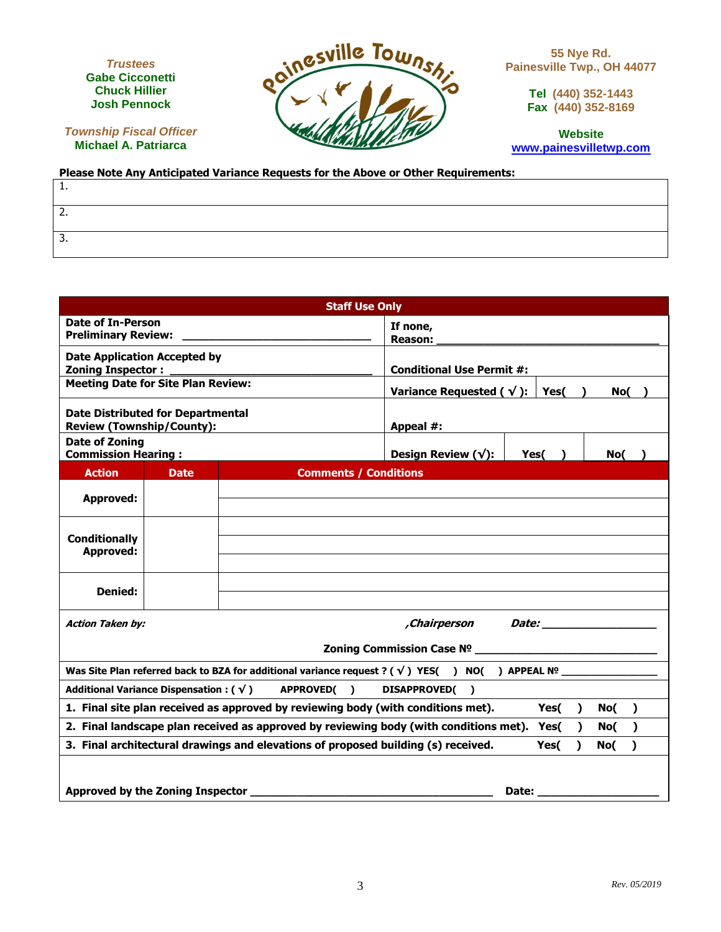**TRUSTEES** *Trustees* **ANGELO A. CICCONETTI Gabe Cicconetti Chuck Hillier Josh Pennock**

**Township Fiscal Officer Michael A. Patriarca**



**55 Nye Rd. Painesville Twp., OH 44077**

> **Tel (440) 352-1443 Fax (440) 352-8169**

**Website [www.painesvilletwp.com](http://www.painesvilletwp.com/)**

#### **Please Note Any Anticipated Variance Requests for the Above or Other Requirements:**

| -- |  |  |
|----|--|--|

| <b>Staff Use Only</b>                                                                                                          |                              |                                                  |  |  |  |
|--------------------------------------------------------------------------------------------------------------------------------|------------------------------|--------------------------------------------------|--|--|--|
| <b>Date of In-Person</b><br><b>Preliminary Review:</b>                                                                         | If none,<br>Reason:          |                                                  |  |  |  |
| <b>Date Application Accepted by</b><br><b>Zoning Inspector:</b>                                                                |                              | <b>Conditional Use Permit #:</b>                 |  |  |  |
| <b>Meeting Date for Site Plan Review:</b>                                                                                      |                              | Variance Requested ( $\sqrt{}$ ):<br>Yes(<br>No( |  |  |  |
| <b>Date Distributed for Departmental</b><br><b>Review (Township/County):</b>                                                   |                              | Appeal #:                                        |  |  |  |
| <b>Date of Zoning</b><br><b>Commission Hearing:</b>                                                                            |                              | Design Review $(\sqrt{\ }$ :<br>Yes(<br>No(      |  |  |  |
| <b>Action</b><br><b>Date</b>                                                                                                   | <b>Comments / Conditions</b> |                                                  |  |  |  |
| <b>Approved:</b>                                                                                                               |                              |                                                  |  |  |  |
| <b>Conditionally</b><br><b>Approved:</b>                                                                                       |                              |                                                  |  |  |  |
| Denied:                                                                                                                        |                              |                                                  |  |  |  |
| Chairperson Date:<br><b>Action Taken by:</b>                                                                                   |                              |                                                  |  |  |  |
| Zoning Commission Case Nº New York Commission Case Nº New York Commission Case Nº New York Commission Case Nº 1                |                              |                                                  |  |  |  |
| Was Site Plan referred back to BZA for additional variance request ? ( $\sqrt{ }$ ) YES( ) NO( ) APPEAL Nº                     |                              |                                                  |  |  |  |
| Additional Variance Dispensation : $(\sqrt)$<br>APPROVED()<br><b>DISAPPROVED(</b><br>$\rightarrow$                             |                              |                                                  |  |  |  |
| 1. Final site plan received as approved by reviewing body (with conditions met).<br>Yes(<br>No(<br>$\lambda$<br>$\mathbf{L}$   |                              |                                                  |  |  |  |
| 2. Final landscape plan received as approved by reviewing body (with conditions met). Yes(<br>$\lambda$<br>No(<br><sup>1</sup> |                              |                                                  |  |  |  |
| 3. Final architectural drawings and elevations of proposed building (s) received.<br>Yes(<br>No(<br>1<br>λ                     |                              |                                                  |  |  |  |
| Approved by the Zoning Inspector<br>Date:                                                                                      |                              |                                                  |  |  |  |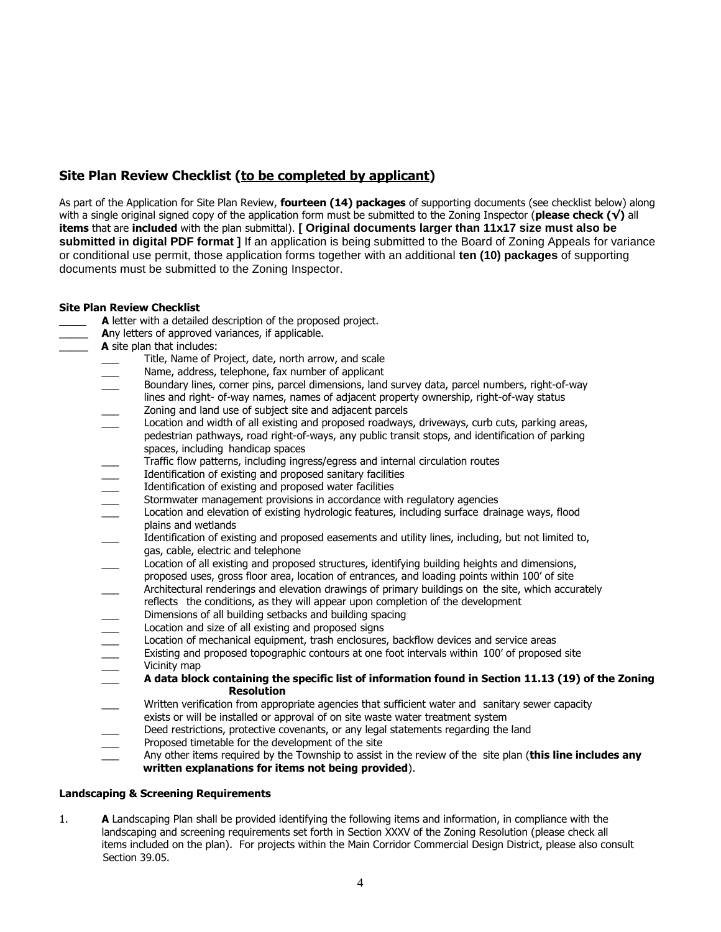# **Site Plan Review Checklist (to be completed by applicant)**

As part of the Application for Site Plan Review, **fourteen (14) packages** of supporting documents (see checklist below) along with a single original signed copy of the application form must be submitted to the Zoning Inspector (**please check (√)** all **items** that are **included** with the plan submittal). **[ Original documents larger than 11x17 size must also be submitted in digital PDF format ]** If an application is being submitted to the Board of Zoning Appeals for variance or conditional use permit, those application forms together with an additional **ten (10) packages** of supporting documents must be submitted to the Zoning Inspector.

# **Site Plan Review Checklist**

- **A** letter with a detailed description of the proposed project.
	- Any letters of approved variances, if applicable.
- A site plan that includes:
	- Title, Name of Project, date, north arrow, and scale
	- Name, address, telephone, fax number of applicant
	- Boundary lines, corner pins, parcel dimensions, land survey data, parcel numbers, right-of-way
	- lines and right- of-way names, names of adjacent property ownership, right-of-way status Zoning and land use of subject site and adjacent parcels
	- Location and width of all existing and proposed roadways, driveways, curb cuts, parking areas,
	- pedestrian pathways, road right-of-ways, any public transit stops, and identification of parking spaces, including handicap spaces
	-
	- Identification of existing and proposed sanitary facilities
	- Identification of existing and proposed water facilities
	- Stormwater management provisions in accordance with regulatory agencies
	- Fraffic flow patterns, including ingress/egress and internal circulation routes<br>
	Identification of existing and proposed sanitary facilities<br>
	<br>
	Location and elevation of existing hydrologic features, including surface drai \_\_\_ Location and elevation of existing hydrologic features, including surface drainage ways, flood plains and wetlands
	- Identification of existing and proposed easements and utility lines, including, but not limited to, gas, cable, electric and telephone
	- Location of all existing and proposed structures, identifying building heights and dimensions, proposed uses, gross floor area, location of entrances, and loading points within 100' of site
	- \_\_\_ Architectural renderings and elevation drawings of primary buildings on the site, which accurately
	- reflects the conditions, as they will appear upon completion of the development
	- Dimensions of all building setbacks and building spacing
	- Location and size of all existing and proposed signs
	- Location of mechanical equipment, trash enclosures, backflow devices and service areas
	- Existing and proposed topographic contours at one foot intervals within 100' of proposed site Vicinity map
	- \_\_\_ **A data block containing the specific list of information found in Section 11.13 (19) of the Zoning Resolution**
	- \_\_\_ Written verification from appropriate agencies that sufficient water and sanitary sewer capacity
	- exists or will be installed or approval of on site waste water treatment system
	- Deed restrictions, protective covenants, or any legal statements regarding the land
	- Proposed timetable for the development of the site
	- \_\_\_ Any other items required by the Township to assist in the review of the site plan (**this line includes any written explanations for items not being provided**).

# **Landscaping & Screening Requirements**

1. **A** Landscaping Plan shall be provided identifying the following items and information, in compliance with the landscaping and screening requirements set forth in Section XXXV of the Zoning Resolution (please check all items included on the plan). For projects within the Main Corridor Commercial Design District, please also consult Section 39.05.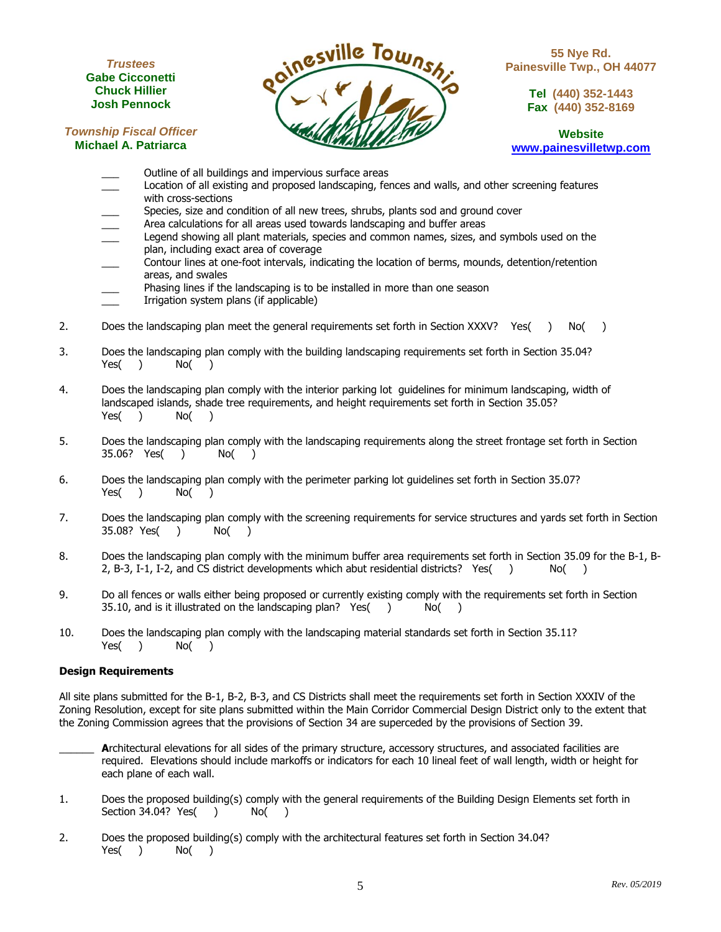#### **TRUSTEES** *Trustees* **ANGELO A. CICCONETTI Gabe Cicconetti Chuck Hillier Josh Pennock**

**Township Fiscal Officer** 



**55 Nye Rd. Painesville Twp., OH 44077**

> **Tel (440) 352-1443 Fax (440) 352-8169**

**Website [www.painesvilletwp.com](http://www.painesvilletwp.com/)**

- **Michael A. Patriarca**
	- \_\_\_ Outline of all buildings and impervious surface areas
	- Location of all existing and proposed landscaping, fences and walls, and other screening features with cross-sections
	- Species, size and condition of all new trees, shrubs, plants sod and ground cover
	- Area calculations for all areas used towards landscaping and buffer areas
	- Legend showing all plant materials, species and common names, sizes, and symbols used on the plan, including exact area of coverage
	- \_\_\_ Contour lines at one-foot intervals, indicating the location of berms, mounds, detention/retention areas, and swales
	- Phasing lines if the landscaping is to be installed in more than one season
	- Irrigation system plans (if applicable)
- 2. Does the landscaping plan meet the general requirements set forth in Section XXXV? Yes( ) No( )
- 3. Does the landscaping plan comply with the building landscaping requirements set forth in Section 35.04? Yes( ) No( )
- 4. Does the landscaping plan comply with the interior parking lot guidelines for minimum landscaping, width of landscaped islands, shade tree requirements, and height requirements set forth in Section 35.05? Yes( ) No( )
- 5. Does the landscaping plan comply with the landscaping requirements along the street frontage set forth in Section 35.06? Yes( ) No( )
- 6. Does the landscaping plan comply with the perimeter parking lot guidelines set forth in Section 35.07? Yes( ) No( )
- 7. Does the landscaping plan comply with the screening requirements for service structures and yards set forth in Section 35.08? Yes( ) No( )
- 8. Does the landscaping plan comply with the minimum buffer area requirements set forth in Section 35.09 for the B-1, B-2, B-3, I-1, I-2, and CS district developments which abut residential districts? Yes( ) No( )
- 9. Do all fences or walls either being proposed or currently existing comply with the requirements set forth in Section 35.10, and is it illustrated on the landscaping plan? Yes( ) No( )
- 10. Does the landscaping plan comply with the landscaping material standards set forth in Section 35.11? Yes( ) No( )

# **Design Requirements**

All site plans submitted for the B-1, B-2, B-3, and CS Districts shall meet the requirements set forth in Section XXXIV of the Zoning Resolution, except for site plans submitted within the Main Corridor Commercial Design District only to the extent that the Zoning Commission agrees that the provisions of Section 34 are superceded by the provisions of Section 39.

- Architectural elevations for all sides of the primary structure, accessory structures, and associated facilities are required. Elevations should include markoffs or indicators for each 10 lineal feet of wall length, width or height for each plane of each wall.
- 1. Does the proposed building(s) comply with the general requirements of the Building Design Elements set forth in Section 34.04? Yes( ) No( )
- 2. Does the proposed building(s) comply with the architectural features set forth in Section 34.04? Yes( ) No( )